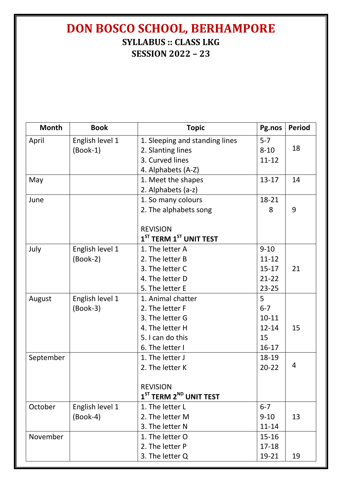## **DON BOSCO SCHOOL, BERHAMPORE SYLLABUS :: CLASS LKG SESSION 2022 – 23**

| <b>Month</b> | <b>Book</b>     | <b>Topic</b>                   | Pg.nos    | <b>Period</b> |
|--------------|-----------------|--------------------------------|-----------|---------------|
| April        | English level 1 | 1. Sleeping and standing lines | $5 - 7$   |               |
|              | $(Book-1)$      | 2. Slanting lines              | $8 - 10$  | 18            |
|              |                 | 3. Curved lines                | $11 - 12$ |               |
|              |                 | 4. Alphabets (A-Z)             |           |               |
| May          |                 | 1. Meet the shapes             | $13 - 17$ | 14            |
|              |                 | 2. Alphabets (a-z)             |           |               |
| June         |                 | 1. So many colours             | 18-21     |               |
|              |                 | 2. The alphabets song          | 8         | 9             |
|              |                 | <b>REVISION</b>                |           |               |
|              |                 | $1ST$ TERM $1ST$ UNIT TEST     |           |               |
| July         | English level 1 | 1. The letter A                | $9 - 10$  |               |
|              | $(Book-2)$      | 2. The letter B                | $11 - 12$ |               |
|              |                 | 3. The letter C                | $15 - 17$ | 21            |
|              |                 | 4. The letter D                | $21 - 22$ |               |
|              |                 | 5. The letter E                | $23 - 25$ |               |
| August       | English level 1 | 1. Animal chatter              | 5         |               |
|              | $(Book-3)$      | 2. The letter F                | $6 - 7$   |               |
|              |                 | 3. The letter G                | $10 - 11$ |               |
|              |                 | 4. The letter H                | $12 - 14$ | 15            |
|              |                 | 5. I can do this               | 15        |               |
|              |                 | 6. The letter I                | $16 - 17$ |               |
| September    |                 | 1. The letter J                | 18-19     |               |
|              |                 | 2. The letter K                | $20 - 22$ | 4             |
|              |                 | <b>REVISION</b>                |           |               |
|              |                 | $1ST$ TERM $2ND$ UNIT TEST     |           |               |
| October      | English level 1 | 1. The letter L                | $6 - 7$   |               |
|              | $(Book-4)$      | 2. The letter M                | $9 - 10$  | 13            |
|              |                 | 3. The letter N                | $11 - 14$ |               |
| November     |                 | 1. The letter O                | $15 - 16$ |               |
|              |                 | 2. The letter P                | $17 - 18$ |               |
|              |                 | 3. The letter Q                | 19-21     | 19            |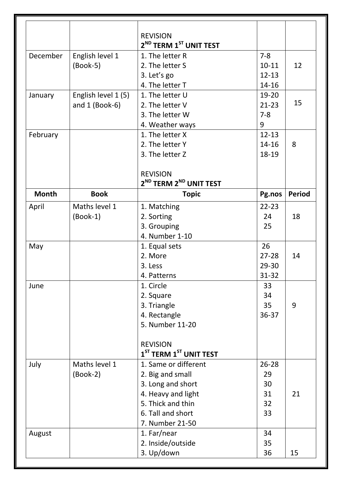|              |                     | <b>REVISION</b>                                |           |               |
|--------------|---------------------|------------------------------------------------|-----------|---------------|
|              |                     | 2 <sup>ND</sup> TERM 1 <sup>ST</sup> UNIT TEST |           |               |
| December     | English level 1     | 1. The letter R                                | $7 - 8$   |               |
|              | $(Book-5)$          | 2. The letter S                                | $10 - 11$ | 12            |
|              |                     | 3. Let's go                                    | $12 - 13$ |               |
|              |                     | 4. The letter T                                | 14-16     |               |
| January      | English level 1 (5) | 1. The letter U                                | 19-20     |               |
|              | and $1$ (Book-6)    | 2. The letter V                                | $21 - 23$ | 15            |
|              |                     | 3. The letter W                                | $7 - 8$   |               |
|              |                     | 4. Weather ways                                | 9         |               |
| February     |                     | 1. The letter X                                | $12 - 13$ |               |
|              |                     | 2. The letter Y                                | $14 - 16$ | 8             |
|              |                     | 3. The letter Z                                | 18-19     |               |
|              |                     | <b>REVISION</b>                                |           |               |
|              |                     | 2 <sup>ND</sup> TERM 2 <sup>ND</sup> UNIT TEST |           |               |
| <b>Month</b> | <b>Book</b>         | <b>Topic</b>                                   | Pg.nos    | <b>Period</b> |
| April        | Maths level 1       | 1. Matching                                    | $22 - 23$ |               |
|              | $(Book-1)$          | 2. Sorting                                     | 24        | 18            |
|              |                     | 3. Grouping                                    | 25        |               |
|              |                     | 4. Number 1-10                                 |           |               |
| May          |                     | 1. Equal sets                                  | 26        |               |
|              |                     | 2. More                                        | $27 - 28$ | 14            |
|              |                     | 3. Less                                        | 29-30     |               |
|              |                     | 4. Patterns                                    | 31-32     |               |
| June         |                     | 1. Circle                                      | 33        |               |
|              |                     | 2. Square                                      | 34        |               |
|              |                     | 3. Triangle                                    | 35        | 9             |
|              |                     | 4. Rectangle                                   | 36-37     |               |
|              |                     | 5. Number 11-20                                |           |               |
|              |                     | <b>REVISION</b>                                |           |               |
|              |                     | $1ST$ TERM $1ST$ UNIT TEST                     |           |               |
| July         | Maths level 1       | 1. Same or different                           | $26 - 28$ |               |
|              | $(Book-2)$          | 2. Big and small                               | 29        |               |
|              |                     | 3. Long and short                              | 30        |               |
|              |                     | 4. Heavy and light                             | 31        | 21            |
|              |                     | 5. Thick and thin                              | 32        |               |
|              |                     | 6. Tall and short                              | 33        |               |
|              |                     | 7. Number 21-50                                |           |               |
| August       |                     | 1. Far/near                                    | 34        |               |
|              |                     | 2. Inside/outside                              | 35        |               |
|              |                     | 3. Up/down                                     | 36        | 15            |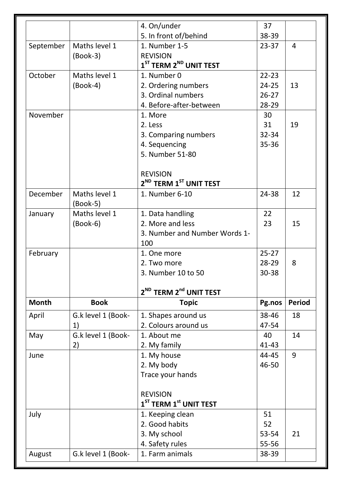|               |                    | 4. On/under                                    | 37             |               |
|---------------|--------------------|------------------------------------------------|----------------|---------------|
|               |                    | 5. In front of/behind                          | 38-39          |               |
| September     | Maths level 1      | 1. Number 1-5                                  | $23 - 37$      | 4             |
|               | $(Book-3)$         | <b>REVISION</b>                                |                |               |
|               |                    | $1ST$ TERM $2ND$ UNIT TEST                     |                |               |
| October       | Maths level 1      | 1. Number 0                                    | $22 - 23$      |               |
|               | $(Book-4)$         | 2. Ordering numbers                            | $24 - 25$      | 13            |
|               |                    | 3. Ordinal numbers                             | $26 - 27$      |               |
|               |                    | 4. Before-after-between                        | 28-29          |               |
| November      |                    | 1. More                                        | 30             |               |
|               |                    | 2. Less                                        | 31             | 19            |
|               |                    | 3. Comparing numbers                           | $32 - 34$      |               |
|               |                    | 4. Sequencing                                  | 35-36          |               |
|               |                    | 5. Number 51-80                                |                |               |
|               |                    |                                                |                |               |
|               |                    | <b>REVISION</b>                                |                |               |
|               |                    | 2 <sup>ND</sup> TERM 1 <sup>ST</sup> UNIT TEST |                |               |
| December      | Maths level 1      | 1. Number 6-10                                 | 24-38          | 12            |
|               | $(Book-5)$         |                                                |                |               |
| January       | Maths level 1      | 1. Data handling                               | 22             |               |
|               | $(Book-6)$         | 2. More and less                               | 23             | 15            |
|               |                    | 3. Number and Number Words 1-                  |                |               |
|               |                    | 100                                            |                |               |
| February      |                    | 1. One more                                    | $25 - 27$      |               |
|               |                    | 2. Two more                                    | 28-29          | 8             |
|               |                    | 3. Number 10 to 50                             | 30-38          |               |
|               |                    |                                                |                |               |
|               |                    | 2 <sup>ND</sup> TERM 2 <sup>nd</sup> UNIT TEST |                |               |
| <b>Month</b>  |                    |                                                |                |               |
|               | <b>Book</b>        | <b>Topic</b>                                   | Pg.nos         | <b>Period</b> |
|               |                    |                                                |                |               |
|               | G.k level 1 (Book- | 1. Shapes around us                            | 38-46          | 18            |
|               | 1)                 | 2. Colours around us                           | 47-54          |               |
|               | G.k level 1 (Book- | 1. About me                                    | 40             | 14            |
| May           | 2)                 | 2. My family                                   | $41 - 43$      |               |
|               |                    | 1. My house                                    | 44-45          | 9             |
|               |                    | 2. My body                                     | 46-50          |               |
| April<br>June |                    | Trace your hands                               |                |               |
|               |                    |                                                |                |               |
|               |                    | <b>REVISION</b>                                |                |               |
|               |                    | $1ST$ TERM $1st$ UNIT TEST                     |                |               |
| July          |                    | 1. Keeping clean                               | 51             |               |
|               |                    | 2. Good habits                                 | 52             |               |
|               |                    | 3. My school<br>4. Safety rules                | 53-54<br>55-56 | 21            |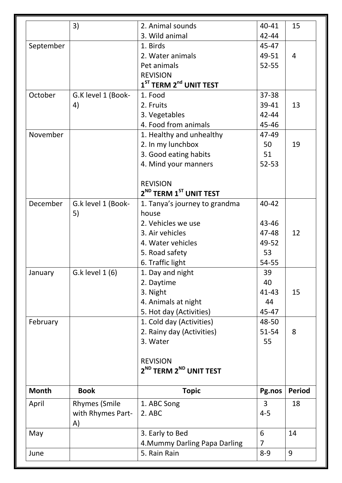|              | 3)                      | 2. Animal sounds                                 | 40-41               | 15             |
|--------------|-------------------------|--------------------------------------------------|---------------------|----------------|
|              |                         | 3. Wild animal                                   | 42-44               |                |
| September    |                         | 1. Birds                                         | 45-47               |                |
|              |                         | 2. Water animals                                 | 49-51               | $\overline{4}$ |
|              |                         | Pet animals                                      | 52-55               |                |
|              |                         | <b>REVISION</b>                                  |                     |                |
|              |                         | $1ST$ TERM $2nd$ UNIT TEST                       |                     |                |
| October      | G.K level 1 (Book-      | 1. Food                                          | 37-38               |                |
|              | 4)                      | 2. Fruits                                        | 39-41               | 13             |
|              |                         | 3. Vegetables                                    | $42 - 44$           |                |
|              |                         | 4. Food from animals                             | 45-46               |                |
| November     |                         | 1. Healthy and unhealthy                         | 47-49               |                |
|              |                         | 2. In my lunchbox                                | 50                  | 19             |
|              |                         | 3. Good eating habits                            | 51                  |                |
|              |                         | 4. Mind your manners                             | $52 - 53$           |                |
|              |                         |                                                  |                     |                |
|              |                         | <b>REVISION</b>                                  |                     |                |
|              |                         | 2 <sup>ND</sup> TERM 1 <sup>ST</sup> UNIT TEST   |                     |                |
| December     | G.k level 1 (Book-      | 1. Tanya's journey to grandma                    | 40-42               |                |
|              | 5)                      | house                                            |                     |                |
|              |                         | 2. Vehicles we use                               | 43-46               |                |
|              |                         | 3. Air vehicles                                  | 47-48               | 12             |
|              |                         | 4. Water vehicles                                | 49-52               |                |
|              |                         | 5. Road safety                                   | 53                  |                |
|              |                         | 6. Traffic light                                 | 54-55               |                |
| January      | G.k level 1 (6)         | 1. Day and night                                 | 39                  |                |
|              |                         | 2. Daytime                                       | 40                  |                |
|              |                         | 3. Night                                         | 41-43               | 15             |
|              |                         | 4. Animals at night                              | 44                  |                |
|              |                         | 5. Hot day (Activities)                          | 45-47               |                |
| February     |                         | 1. Cold day (Activities)                         | 48-50               |                |
|              |                         | 2. Rainy day (Activities)                        | 51-54               | 8              |
|              |                         | 3. Water                                         | 55                  |                |
|              |                         |                                                  |                     |                |
|              |                         | <b>REVISION</b>                                  |                     |                |
|              |                         | 2 <sup>ND</sup> TERM 2 <sup>ND</sup> UNIT TEST   |                     |                |
|              |                         |                                                  |                     |                |
| <b>Month</b> | <b>Book</b>             | <b>Topic</b>                                     | Pg.nos              | <b>Period</b>  |
| April        | <b>Rhymes (Smile</b>    | 1. ABC Song                                      | 3                   | 18             |
|              | with Rhymes Part-<br>A) | 2. ABC                                           | $4 - 5$             |                |
|              |                         |                                                  |                     |                |
|              |                         |                                                  |                     | 14             |
| May          |                         | 3. Early to Bed<br>4. Mummy Darling Papa Darling | 6<br>$\overline{7}$ |                |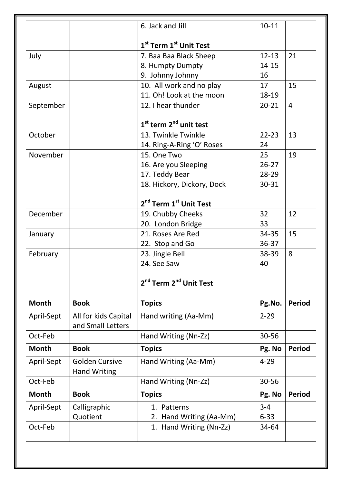|              |                                              | 6. Jack and Jill                               | $10 - 11$ |                |
|--------------|----------------------------------------------|------------------------------------------------|-----------|----------------|
|              |                                              | 1 <sup>st</sup> Term 1 <sup>st</sup> Unit Test |           |                |
| July         |                                              | 7. Baa Baa Black Sheep                         | $12 - 13$ | 21             |
|              |                                              | 8. Humpty Dumpty                               | $14 - 15$ |                |
|              |                                              | 9. Johnny Johnny                               | 16        |                |
| August       |                                              | 10. All work and no play                       | 17        | 15             |
|              |                                              | 11. Oh! Look at the moon                       | 18-19     |                |
| September    |                                              | 12. I hear thunder                             | $20 - 21$ | $\overline{4}$ |
|              |                                              | $1st$ term $2nd$ unit test                     |           |                |
| October      |                                              | 13. Twinkle Twinkle                            | $22 - 23$ | 13             |
|              |                                              | 14. Ring-A-Ring 'O' Roses                      | 24        |                |
| November     |                                              | 15. One Two                                    | 25        | 19             |
|              |                                              | 16. Are you Sleeping                           | $26 - 27$ |                |
|              |                                              | 17. Teddy Bear                                 | 28-29     |                |
|              |                                              | 18. Hickory, Dickory, Dock                     | 30-31     |                |
|              |                                              | 2 <sup>nd</sup> Term 1 <sup>st</sup> Unit Test |           |                |
| December     |                                              | 19. Chubby Cheeks                              | 32        | 12             |
|              |                                              | 20. London Bridge                              | 33        |                |
| January      |                                              | 21. Roses Are Red                              | 34-35     | 15             |
|              |                                              | 22. Stop and Go                                | 36-37     |                |
| February     |                                              | 23. Jingle Bell                                | 38-39     | 8              |
|              |                                              | 24. See Saw                                    | 40        |                |
|              |                                              | 2 <sup>nd</sup> Term 2 <sup>nd</sup> Unit Test |           |                |
| <b>Month</b> | <b>Book</b>                                  | <b>Topics</b>                                  | Pg.No.    | <b>Period</b>  |
| April-Sept   | All for kids Capital<br>and Small Letters    | Hand writing (Aa-Mm)                           | $2 - 29$  |                |
| Oct-Feb      |                                              | Hand Writing (Nn-Zz)                           | 30-56     |                |
| <b>Month</b> | <b>Book</b>                                  | <b>Topics</b>                                  | Pg. No    | <b>Period</b>  |
| April-Sept   | <b>Golden Cursive</b><br><b>Hand Writing</b> | Hand Writing (Aa-Mm)                           | $4 - 29$  |                |
| Oct-Feb      |                                              | Hand Writing (Nn-Zz)                           | 30-56     |                |
| <b>Month</b> | <b>Book</b>                                  | <b>Topics</b>                                  | Pg. No    | <b>Period</b>  |
| April-Sept   | Calligraphic                                 | 1. Patterns                                    | $3 - 4$   |                |
|              |                                              | 2. Hand Writing (Aa-Mm)                        | $6 - 33$  |                |
|              | Quotient                                     |                                                |           |                |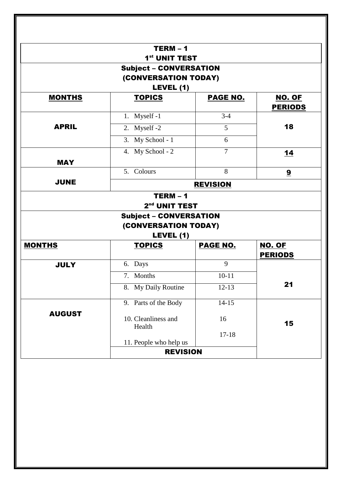| $TERM - 1$                     |                                                                                 |                                                                                                                                                                                                                |  |  |
|--------------------------------|---------------------------------------------------------------------------------|----------------------------------------------------------------------------------------------------------------------------------------------------------------------------------------------------------------|--|--|
|                                |                                                                                 |                                                                                                                                                                                                                |  |  |
|                                |                                                                                 |                                                                                                                                                                                                                |  |  |
|                                |                                                                                 |                                                                                                                                                                                                                |  |  |
| <b>TOPICS</b>                  | <b>PAGE NO.</b>                                                                 | NO. OF<br><b>PERIODS</b>                                                                                                                                                                                       |  |  |
| 1. Myself -1                   | $3-4$                                                                           |                                                                                                                                                                                                                |  |  |
| 2. Myself -2                   | 5                                                                               | 18                                                                                                                                                                                                             |  |  |
| 3. My School - 1               | 6                                                                               |                                                                                                                                                                                                                |  |  |
| 4. My School - 2               | $\overline{7}$                                                                  | 14                                                                                                                                                                                                             |  |  |
|                                |                                                                                 |                                                                                                                                                                                                                |  |  |
|                                | 8                                                                               | 9                                                                                                                                                                                                              |  |  |
| <b>JUNE</b><br><b>REVISION</b> |                                                                                 |                                                                                                                                                                                                                |  |  |
| $TERM - 1$                     |                                                                                 |                                                                                                                                                                                                                |  |  |
|                                |                                                                                 |                                                                                                                                                                                                                |  |  |
|                                |                                                                                 |                                                                                                                                                                                                                |  |  |
|                                |                                                                                 |                                                                                                                                                                                                                |  |  |
|                                |                                                                                 | NO. OF                                                                                                                                                                                                         |  |  |
|                                |                                                                                 | <b>PERIODS</b>                                                                                                                                                                                                 |  |  |
| 6. Days                        | 9                                                                               |                                                                                                                                                                                                                |  |  |
| 7. Months                      | $10 - 11$                                                                       |                                                                                                                                                                                                                |  |  |
| 8. My Daily Routine            | $12 - 13$                                                                       | 21                                                                                                                                                                                                             |  |  |
| 9. Parts of the Body           | $14 - 15$                                                                       |                                                                                                                                                                                                                |  |  |
| 10. Cleanliness and<br>Health  | 16                                                                              | 15                                                                                                                                                                                                             |  |  |
|                                | $17 - 18$                                                                       |                                                                                                                                                                                                                |  |  |
|                                |                                                                                 |                                                                                                                                                                                                                |  |  |
|                                | LEVEL (1)<br>5. Colours<br>LEVEL (1)<br><b>TOPICS</b><br>11. People who help us | 1 <sup>st</sup> UNIT TEST<br><b>Subject - CONVERSATION</b><br>(CONVERSATION TODAY)<br>2 <sup>nd</sup> UNIT TEST<br><b>Subject - CONVERSATION</b><br>(CONVERSATION TODAY)<br><b>PAGE NO.</b><br><b>REVISION</b> |  |  |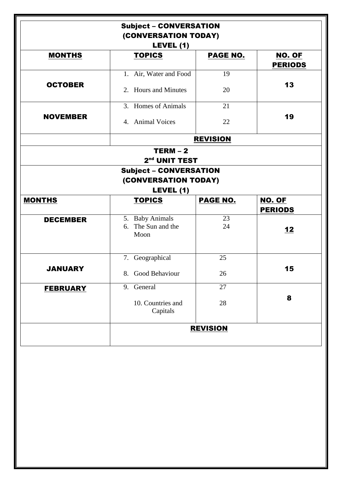|                 | <b>Subject - CONVERSATION</b><br>(CONVERSATION TODAY)<br>LEVEL (1) |                 |                                 |
|-----------------|--------------------------------------------------------------------|-----------------|---------------------------------|
| <b>MONTHS</b>   | <b>TOPICS</b>                                                      | <b>PAGE NO.</b> | <b>NO. OF</b><br><b>PERIODS</b> |
| <b>OCTOBER</b>  | 1. Air, Water and Food<br>2. Hours and Minutes                     | 19<br>20        | 13                              |
| <b>NOVEMBER</b> | 3. Homes of Animals<br>4. Animal Voices                            | 21<br>22        | 19                              |
|                 |                                                                    | <b>REVISION</b> |                                 |
|                 | $TERM - 2$<br>2 <sup>nd</sup> UNIT TEST                            |                 |                                 |
|                 | <b>Subject - CONVERSATION</b><br>(CONVERSATION TODAY)<br>LEVEL (1) |                 |                                 |
| <b>MONTHS</b>   | <b>TOPICS</b>                                                      | <b>PAGE NO.</b> | <b>NO. OF</b><br><b>PERIODS</b> |
| <b>DECEMBER</b> | 5. Baby Animals<br>The Sun and the<br>6.<br>Moon                   | 23<br>24        | 12                              |
| <b>JANUARY</b>  | 7. Geographical<br>8. Good Behaviour                               | 25<br>26        | 15                              |
| <b>FEBRUARY</b> | 9. General                                                         | 27              |                                 |
|                 | 10. Countries and<br>Capitals                                      | 28              | 8                               |
|                 |                                                                    | <b>REVISION</b> |                                 |